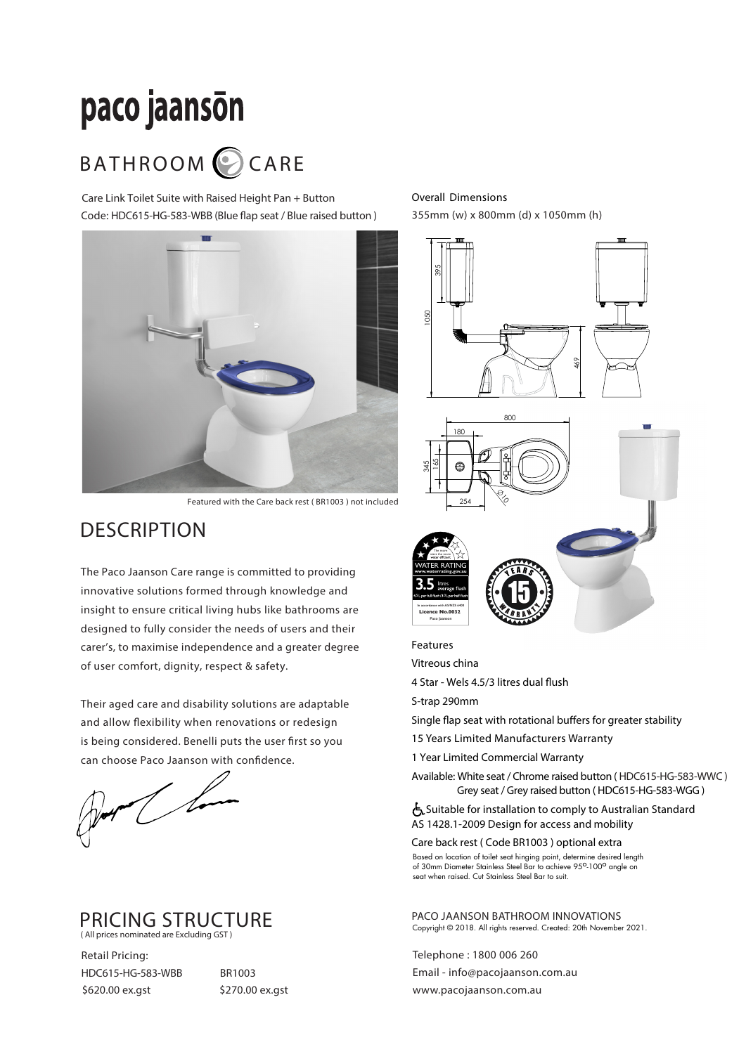# paco jaanson

## BATHROOM CARE

Care Link Toilet Suite with Raised Height Pan + Button Code: HDC615-HG-583-WBB (Blue flap seat / Blue raised button)



Featured with the Care back rest ( BR1003 ) not included

### **DESCRIPTION**

The Paco Jaanson Care range is committed to providing innovative solutions formed through knowledge and insight to ensure critical living hubs like bathrooms are designed to fully consider the needs of users and their carer's, to maximise independence and a greater degree of user comfort, dignity, respect & safety.

Their aged care and disability solutions are adaptable and allow flexibility when renovations or redesign is being considered. Benelli puts the user first so you can choose Paco Jaanson with confidence.

 $\sim$ 



Retail Pricing: HDC615-HG-583-WBB \$620.00 ex.gst

BR1003 \$270.00 ex.gst Overall Dimensions 355mm (w) x 800mm (d) x 1050mm (h)



Features

Vitreous china

4 Star - Wels 4.5/3 litres dual flush

S-trap 290mm

Single flap seat with rotational buffers for greater stability

- 15 Years Limited Manufacturers Warranty
- 1 Year Limited Commercial Warranty

Available: White seat / Chrome raised button ( HDC615-HG-583-WWC ) Grey seat / Grey raised button ( HDC615-HG-583-WGG )

 Suitable for installation to comply to Australian Standard AS 1428.1-2009 Design for access and mobility

Care back rest ( Code BR1003 ) optional extra

of 30mm Diameter Stainless Steel Bar to achieve 95°-100° angle on Based on location of toilet seat hinging point, determine desired length seat when raised. Cut Stainless Steel Bar to suit.

PACO JAANSON BATHROOM INNOVATIONS Copyright © 2018. All rights reserved. Created: 20th November 2021.

Telephone : 1800 006 260 Email - info@pacojaanson.com.au www.pacojaanson.com.au